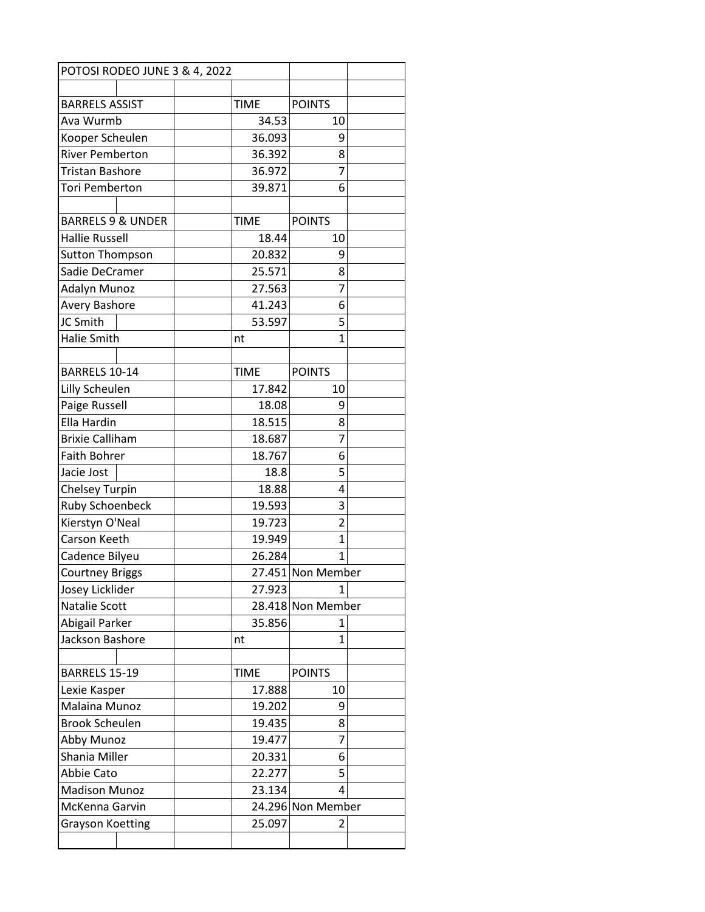| POTOSI RODEO JUNE 3 & 4, 2022 |  |       |             |                   |  |
|-------------------------------|--|-------|-------------|-------------------|--|
|                               |  |       |             |                   |  |
| <b>BARRELS ASSIST</b>         |  |       | <b>TIME</b> | <b>POINTS</b>     |  |
| Ava Wurmb                     |  | 34.53 | 10          |                   |  |
| Kooper Scheulen               |  |       | 36.093      | 9                 |  |
| <b>River Pemberton</b>        |  |       | 36.392      | 8                 |  |
| <b>Tristan Bashore</b>        |  |       | 36.972      | $\overline{7}$    |  |
| Tori Pemberton                |  |       | 39.871      | 6                 |  |
|                               |  |       |             |                   |  |
| <b>BARRELS 9 &amp; UNDER</b>  |  |       | <b>TIME</b> | <b>POINTS</b>     |  |
| <b>Hallie Russell</b>         |  |       | 18.44       | 10                |  |
| <b>Sutton Thompson</b>        |  |       | 20.832      | 9                 |  |
| Sadie DeCramer                |  |       | 25.571      | 8                 |  |
| <b>Adalyn Munoz</b>           |  |       | 27.563      | 7                 |  |
| <b>Avery Bashore</b>          |  |       | 41.243      | 6                 |  |
| JC Smith                      |  |       | 53.597      | 5                 |  |
| <b>Halie Smith</b>            |  |       | nt          | $\mathbf{1}$      |  |
|                               |  |       |             |                   |  |
| BARRELS 10-14                 |  |       | <b>TIME</b> | <b>POINTS</b>     |  |
| Lilly Scheulen                |  |       | 17.842      | 10                |  |
| Paige Russell                 |  |       | 18.08       | 9                 |  |
| Ella Hardin                   |  |       | 18.515      | 8                 |  |
| <b>Brixie Calliham</b>        |  |       | 18.687      | 7                 |  |
| <b>Faith Bohrer</b>           |  |       | 18.767      | 6                 |  |
| Jacie Jost                    |  |       | 18.8        | 5                 |  |
| <b>Chelsey Turpin</b>         |  |       | 18.88       | 4                 |  |
| <b>Ruby Schoenbeck</b>        |  |       | 19.593      | 3                 |  |
| Kierstyn O'Neal               |  |       | 19.723      | $\overline{2}$    |  |
| Carson Keeth                  |  |       | 19.949      | 1                 |  |
| Cadence Bilyeu                |  |       | 26.284      | 1                 |  |
| <b>Courtney Briggs</b>        |  |       |             | 27.451 Non Member |  |
| Josey Licklider               |  |       | 27.923      | 1                 |  |
| Natalie Scott                 |  |       |             | 28.418 Non Member |  |
| Abigail Parker                |  |       | 35.856      | 1                 |  |
| Jackson Bashore               |  |       | nt          | 1                 |  |
|                               |  |       |             |                   |  |
| BARRELS 15-19                 |  |       | <b>TIME</b> | <b>POINTS</b>     |  |
| Lexie Kasper                  |  |       | 17.888      | 10                |  |
| Malaina Munoz                 |  |       | 19.202      | 9                 |  |
| <b>Brook Scheulen</b>         |  |       | 19.435      | 8                 |  |
| Abby Munoz                    |  |       | 19.477      | 7                 |  |
| Shania Miller                 |  |       | 20.331      | 6                 |  |
| Abbie Cato                    |  |       | 22.277      | 5                 |  |
| <b>Madison Munoz</b>          |  |       | 23.134      | 4                 |  |
| McKenna Garvin                |  |       |             | 24.296 Non Member |  |
| <b>Grayson Koetting</b>       |  |       | 25.097      | 2                 |  |
|                               |  |       |             |                   |  |
|                               |  |       |             |                   |  |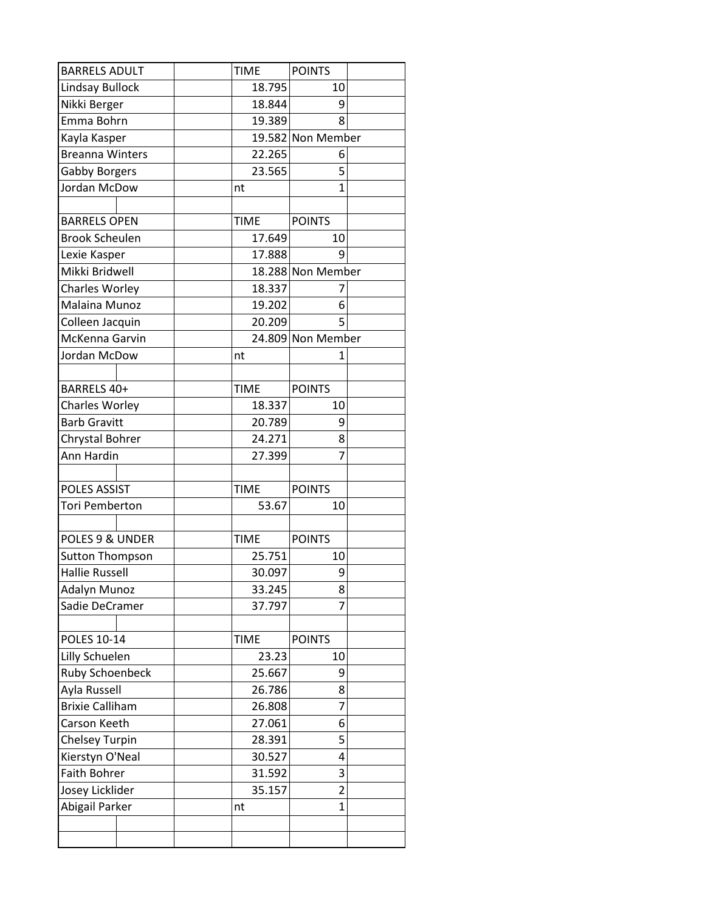| <b>BARRELS ADULT</b>   |  | <b>TIME</b> | <b>POINTS</b>     |                   |  |
|------------------------|--|-------------|-------------------|-------------------|--|
| <b>Lindsay Bullock</b> |  | 18.795      | 10                |                   |  |
| Nikki Berger           |  | 18.844      | 9                 |                   |  |
| Emma Bohrn             |  | 19.389      | 8                 |                   |  |
| Kayla Kasper           |  |             | 19.582 Non Member |                   |  |
| <b>Breanna Winters</b> |  |             | 22.265            | 6                 |  |
| <b>Gabby Borgers</b>   |  |             | 23.565            | 5                 |  |
| Jordan McDow           |  |             | nt                | $\overline{1}$    |  |
|                        |  |             |                   |                   |  |
| <b>BARRELS OPEN</b>    |  | <b>TIME</b> | <b>POINTS</b>     |                   |  |
| <b>Brook Scheulen</b>  |  | 17.649      | 10                |                   |  |
| Lexie Kasper           |  |             | 17.888            | 9                 |  |
| Mikki Bridwell         |  |             |                   | 18.288 Non Member |  |
| Charles Worley         |  |             | 18.337            | 7                 |  |
| Malaina Munoz          |  |             | 19.202            | 6                 |  |
| Colleen Jacquin        |  |             | 20.209            | 5                 |  |
| McKenna Garvin         |  |             |                   | 24.809 Non Member |  |
| Jordan McDow           |  |             | nt                | 1                 |  |
|                        |  |             |                   |                   |  |
| BARRELS 40+            |  |             | <b>TIME</b>       | <b>POINTS</b>     |  |
| Charles Worley         |  |             | 18.337            | 10                |  |
| <b>Barb Gravitt</b>    |  |             | 20.789            | 9                 |  |
| Chrystal Bohrer        |  |             | 24.271            | 8                 |  |
| Ann Hardin             |  |             | 27.399            | 7                 |  |
|                        |  |             |                   |                   |  |
| <b>POLES ASSIST</b>    |  |             | <b>TIME</b>       | <b>POINTS</b>     |  |
| <b>Tori Pemberton</b>  |  |             | 53.67             | 10                |  |
|                        |  |             |                   |                   |  |
| POLES 9 & UNDER        |  |             | <b>TIME</b>       | <b>POINTS</b>     |  |
| <b>Sutton Thompson</b> |  |             | 25.751            | 10                |  |
| <b>Hallie Russell</b>  |  |             | 30.097            | 9                 |  |
| <b>Adalyn Munoz</b>    |  |             | 33.245            | 8                 |  |
| Sadie DeCramer         |  |             | 37.797            | 7                 |  |
| <b>POLES 10-14</b>     |  |             | <b>TIME</b>       | <b>POINTS</b>     |  |
| Lilly Schuelen         |  |             | 23.23             | 10                |  |
| <b>Ruby Schoenbeck</b> |  |             | 25.667            | 9                 |  |
| Ayla Russell           |  | 26.786      | 8                 |                   |  |
| <b>Brixie Calliham</b> |  | 26.808      | 7                 |                   |  |
| Carson Keeth           |  | 27.061      | 6                 |                   |  |
| <b>Chelsey Turpin</b>  |  | 28.391      | 5                 |                   |  |
| Kierstyn O'Neal        |  | 30.527      | 4                 |                   |  |
| <b>Faith Bohrer</b>    |  | 31.592      | 3                 |                   |  |
| Josey Licklider        |  | 35.157      | $\overline{2}$    |                   |  |
| Abigail Parker         |  |             | nt                | $\mathbf{1}$      |  |
|                        |  |             |                   |                   |  |
|                        |  |             |                   |                   |  |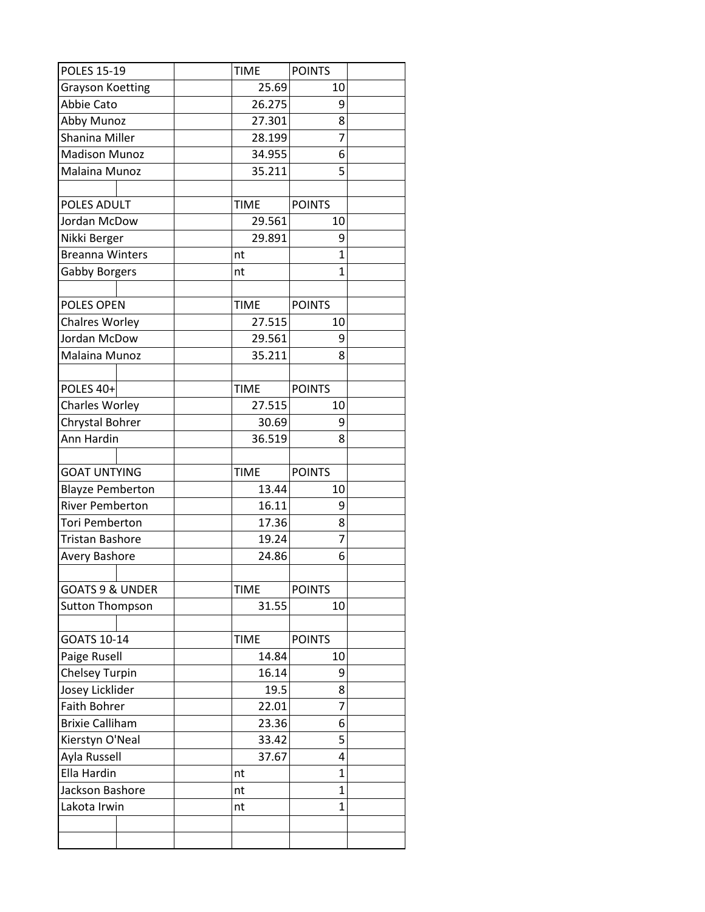| <b>POLES 15-19</b>         | <b>TIME</b> | <b>POINTS</b>  |  |
|----------------------------|-------------|----------------|--|
| <b>Grayson Koetting</b>    | 25.69       | 10             |  |
| Abbie Cato                 | 26.275      | 9              |  |
| Abby Munoz                 | 27.301      | 8              |  |
| Shanina Miller             | 28.199      | $\overline{7}$ |  |
| <b>Madison Munoz</b>       | 34.955      | 6              |  |
| Malaina Munoz              | 35.211      | 5              |  |
|                            |             |                |  |
| POLES ADULT                | <b>TIME</b> | <b>POINTS</b>  |  |
| Jordan McDow               | 29.561      | 10             |  |
| Nikki Berger               | 29.891      | 9              |  |
| <b>Breanna Winters</b>     | nt          | 1              |  |
| <b>Gabby Borgers</b>       | nt          | $\mathbf{1}$   |  |
|                            |             |                |  |
| <b>POLES OPEN</b>          | <b>TIME</b> | <b>POINTS</b>  |  |
| <b>Chalres Worley</b>      | 27.515      | 10             |  |
| Jordan McDow               | 29.561      | 9              |  |
| Malaina Munoz              | 35.211      | 8              |  |
|                            |             |                |  |
| POLES 40+                  | <b>TIME</b> | <b>POINTS</b>  |  |
| Charles Worley             | 27.515      | 10             |  |
| Chrystal Bohrer            | 30.69       | 9              |  |
| Ann Hardin                 | 36.519      | 8              |  |
|                            |             |                |  |
| <b>GOAT UNTYING</b>        | <b>TIME</b> | <b>POINTS</b>  |  |
| <b>Blayze Pemberton</b>    | 13.44       | 10             |  |
| <b>River Pemberton</b>     | 16.11       | 9              |  |
| <b>Tori Pemberton</b>      | 17.36       | 8              |  |
| <b>Tristan Bashore</b>     | 19.24       | $\overline{7}$ |  |
| Avery Bashore              | 24.86       | 6              |  |
|                            |             |                |  |
| <b>GOATS 9 &amp; UNDER</b> | <b>TIME</b> | <b>POINTS</b>  |  |
| <b>Sutton Thompson</b>     | 31.55       | 10             |  |
|                            |             |                |  |
| GOATS 10-14                | <b>TIME</b> | <b>POINTS</b>  |  |
| Paige Rusell               | 14.84       | 10             |  |
| <b>Chelsey Turpin</b>      | 16.14       | 9              |  |
| Josey Licklider            | 19.5        | 8              |  |
| Faith Bohrer               | 22.01       | 7              |  |
| <b>Brixie Calliham</b>     | 23.36       | 6              |  |
| Kierstyn O'Neal            | 33.42       | 5              |  |
| Ayla Russell               | 37.67       | 4              |  |
| Ella Hardin                | nt          | 1              |  |
| Jackson Bashore            | nt          | 1              |  |
| Lakota Irwin               | nt          | $\mathbf{1}$   |  |
|                            |             |                |  |
|                            |             |                |  |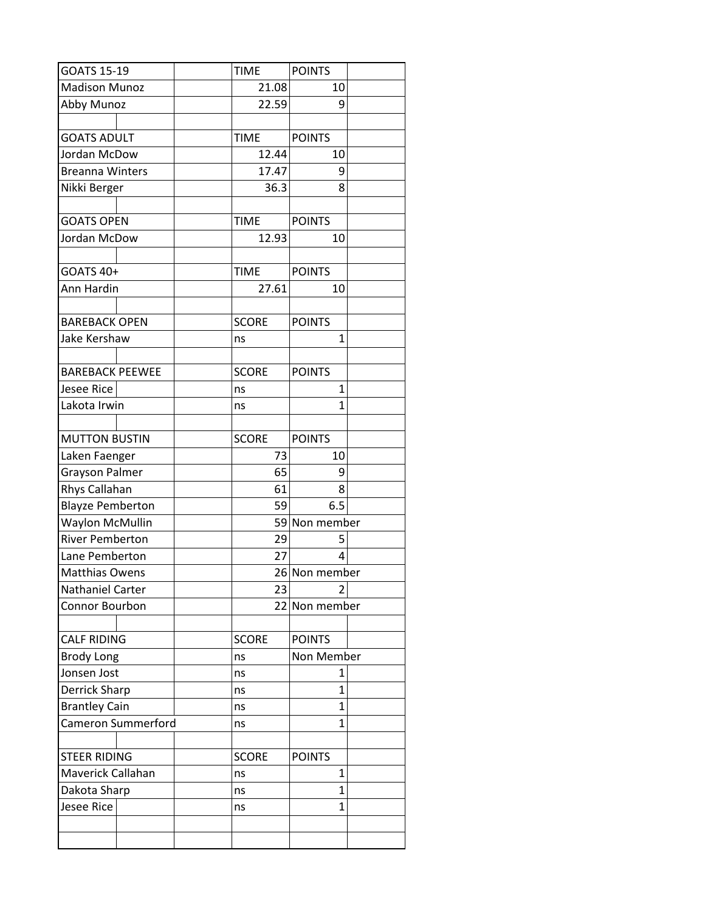| GOATS 15-19             | <b>TIME</b>  | <b>POINTS</b> |
|-------------------------|--------------|---------------|
| <b>Madison Munoz</b>    | 21.08        | 10            |
| Abby Munoz              | 22.59        | 9             |
|                         |              |               |
| <b>GOATS ADULT</b>      | <b>TIME</b>  | <b>POINTS</b> |
| Jordan McDow            | 12.44        | 10            |
| <b>Breanna Winters</b>  | 17.47        | 9             |
| Nikki Berger            | 36.3         | 8             |
|                         |              |               |
| <b>GOATS OPEN</b>       | <b>TIME</b>  | <b>POINTS</b> |
| Jordan McDow            | 12.93        | 10            |
|                         |              |               |
| GOATS 40+               | <b>TIME</b>  | <b>POINTS</b> |
| Ann Hardin              | 27.61        | 10            |
|                         |              |               |
| <b>BAREBACK OPEN</b>    | <b>SCORE</b> | <b>POINTS</b> |
| Jake Kershaw            | ns           | $\mathbf{1}$  |
|                         |              |               |
| <b>BAREBACK PEEWEE</b>  | <b>SCORE</b> | <b>POINTS</b> |
| Jesee Rice              | ns           | 1             |
| Lakota Irwin            | ns           | 1             |
|                         |              |               |
| <b>MUTTON BUSTIN</b>    | <b>SCORE</b> | <b>POINTS</b> |
| Laken Faenger           | 73           | 10            |
| Grayson Palmer          | 65           | 9             |
| Rhys Callahan           | 61           | 8             |
| <b>Blayze Pemberton</b> | 59           | 6.5           |
| <b>Waylon McMullin</b>  |              | 59 Non member |
| <b>River Pemberton</b>  | 29           | 5             |
| Lane Pemberton          | 27           | 4             |
| <b>Matthias Owens</b>   |              | 26 Non member |
| <b>Nathaniel Carter</b> | 23           | 2             |
| Connor Bourbon          |              | 22 Non member |
|                         |              |               |
| <b>CALF RIDING</b>      | <b>SCORE</b> | <b>POINTS</b> |
| <b>Brody Long</b>       | ns           | Non Member    |
| Jonsen Jost             | ns           | 1             |
| Derrick Sharp           | ns           | 1             |
| <b>Brantley Cain</b>    | ns           | 1             |
| Cameron Summerford      | ns           | $\mathbf{1}$  |
|                         |              |               |
| <b>STEER RIDING</b>     | <b>SCORE</b> | <b>POINTS</b> |
| Maverick Callahan       | ns           | 1             |
| Dakota Sharp            | ns           | $\mathbf{1}$  |
| <b>Jesee Rice</b>       | ns           | $\mathbf{1}$  |
|                         |              |               |
|                         |              |               |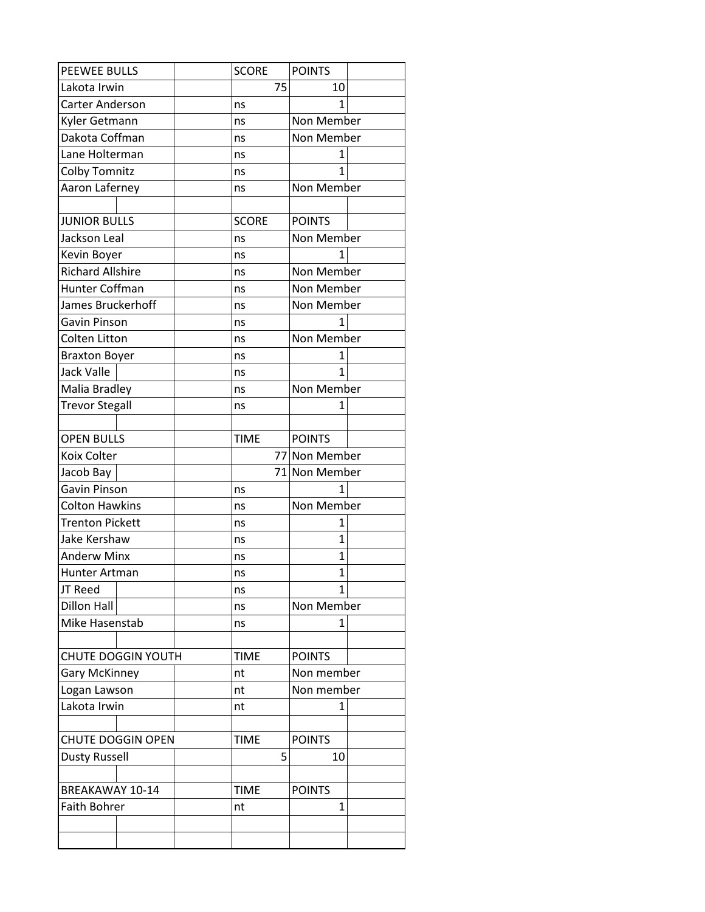| <b>PEEWEE BULLS</b>       |  | <b>SCORE</b> | <b>POINTS</b>  |  |  |
|---------------------------|--|--------------|----------------|--|--|
| Lakota Irwin              |  | 75           | 10             |  |  |
| Carter Anderson           |  | ns           | 1              |  |  |
| Kyler Getmann             |  | ns           | Non Member     |  |  |
| Dakota Coffman            |  | ns           | Non Member     |  |  |
| Lane Holterman            |  | ns           | 1              |  |  |
| Colby Tomnitz             |  | ns           | 1              |  |  |
| Aaron Laferney            |  | ns           | Non Member     |  |  |
|                           |  |              |                |  |  |
| <b>JUNIOR BULLS</b>       |  | <b>SCORE</b> | <b>POINTS</b>  |  |  |
| Jackson Leal              |  | ns           | Non Member     |  |  |
| Kevin Boyer               |  | ns           | 1              |  |  |
| <b>Richard Allshire</b>   |  | ns           | Non Member     |  |  |
| Hunter Coffman            |  | ns           | Non Member     |  |  |
| James Bruckerhoff         |  | ns           | Non Member     |  |  |
| Gavin Pinson              |  | ns           | 1              |  |  |
| <b>Colten Litton</b>      |  | ns           | Non Member     |  |  |
| <b>Braxton Boyer</b>      |  | ns           | 1              |  |  |
| <b>Jack Valle</b>         |  | ns           | 1              |  |  |
| Malia Bradley             |  | ns           | Non Member     |  |  |
| <b>Trevor Stegall</b>     |  | ns           | $\mathbf{1}$   |  |  |
|                           |  |              |                |  |  |
| <b>OPEN BULLS</b>         |  | <b>TIME</b>  | <b>POINTS</b>  |  |  |
| Koix Colter               |  |              | 77 Non Member  |  |  |
| Jacob Bay                 |  |              | 71 Non Member  |  |  |
| Gavin Pinson              |  | ns           | 1              |  |  |
| Colton Hawkins            |  | ns           | Non Member     |  |  |
| <b>Trenton Pickett</b>    |  | ns           | 1              |  |  |
| Jake Kershaw              |  | ns           | $\mathbf{1}$   |  |  |
| <b>Anderw Minx</b>        |  | ns           | 1              |  |  |
| Hunter Artman             |  | ns           | $\overline{1}$ |  |  |
| JT Reed                   |  | ns           | 1              |  |  |
| <b>Dillon Hall</b>        |  | ns           | Non Member     |  |  |
| Mike Hasenstab            |  | ns           | 1              |  |  |
|                           |  |              |                |  |  |
| <b>CHUTE DOGGIN YOUTH</b> |  | <b>TIME</b>  | <b>POINTS</b>  |  |  |
| <b>Gary McKinney</b>      |  | nt           | Non member     |  |  |
| Logan Lawson              |  | nt           | Non member     |  |  |
| Lakota Irwin              |  | nt           | 1              |  |  |
|                           |  |              |                |  |  |
| <b>CHUTE DOGGIN OPEN</b>  |  | <b>TIME</b>  | <b>POINTS</b>  |  |  |
| <b>Dusty Russell</b>      |  | 5            | 10             |  |  |
|                           |  |              |                |  |  |
| <b>BREAKAWAY 10-14</b>    |  | <b>TIME</b>  | <b>POINTS</b>  |  |  |
| <b>Faith Bohrer</b>       |  | nt           | $\mathbf{1}$   |  |  |
|                           |  |              |                |  |  |
|                           |  |              |                |  |  |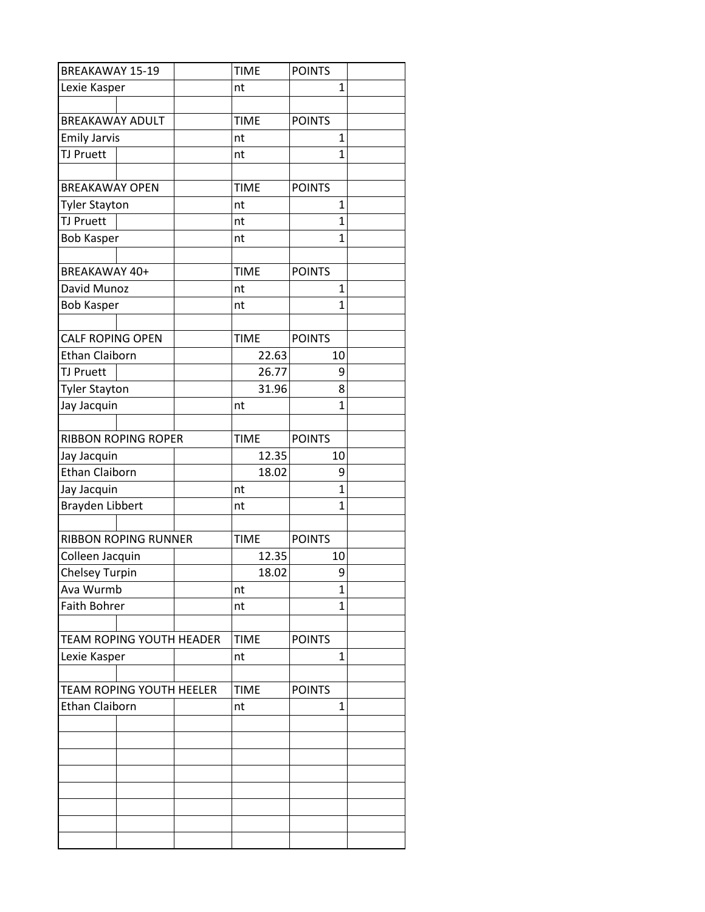| <b>BREAKAWAY 15-19</b>          | <b>TIME</b> | <b>POINTS</b>  |
|---------------------------------|-------------|----------------|
| Lexie Kasper                    | nt          | 1              |
|                                 |             |                |
| <b>BREAKAWAY ADULT</b>          | <b>TIME</b> | <b>POINTS</b>  |
| <b>Emily Jarvis</b>             | nt          | 1              |
| <b>TJ Pruett</b>                | nt          | 1              |
|                                 |             |                |
| <b>BREAKAWAY OPEN</b>           | <b>TIME</b> | <b>POINTS</b>  |
| <b>Tyler Stayton</b>            | nt          | 1              |
| <b>TJ Pruett</b>                | nt          | 1              |
| <b>Bob Kasper</b>               | nt          | 1              |
| BREAKAWAY 40+                   | <b>TIME</b> | <b>POINTS</b>  |
| David Munoz                     | nt          | 1              |
| <b>Bob Kasper</b>               | nt          | $\mathbf{1}$   |
|                                 |             |                |
| <b>CALF ROPING OPEN</b>         | <b>TIME</b> | <b>POINTS</b>  |
| <b>Ethan Claiborn</b>           | 22.63       | 10             |
| <b>TJ Pruett</b>                | 26.77       | 9              |
| <b>Tyler Stayton</b>            | 31.96       | 8              |
| Jay Jacquin                     | nt          | $\overline{1}$ |
|                                 |             |                |
| <b>RIBBON ROPING ROPER</b>      | <b>TIME</b> | <b>POINTS</b>  |
| Jay Jacquin                     | 12.35       | 10             |
| <b>Ethan Claiborn</b>           | 18.02       | 9              |
| Jay Jacquin                     | nt          | 1              |
| Brayden Libbert                 | nt          | $\mathbf{1}$   |
|                                 |             |                |
| <b>RIBBON ROPING RUNNER</b>     | <b>TIME</b> | <b>POINTS</b>  |
| Colleen Jacquin                 | 12.35       | 10             |
| <b>Chelsey Turpin</b>           | 18.02       | 9              |
| Ava Wurmb                       | nt          | 1              |
| <b>Faith Bohrer</b>             | nt          | 1              |
|                                 |             |                |
| <b>TEAM ROPING YOUTH HEADER</b> | <b>TIME</b> | <b>POINTS</b>  |
| Lexie Kasper                    | nt          | $\mathbf{1}$   |
|                                 |             |                |
| TEAM ROPING YOUTH HEELER        | <b>TIME</b> | <b>POINTS</b>  |
| <b>Ethan Claiborn</b>           | nt          | 1              |
|                                 |             |                |
|                                 |             |                |
|                                 |             |                |
|                                 |             |                |
|                                 |             |                |
|                                 |             |                |
|                                 |             |                |
|                                 |             |                |